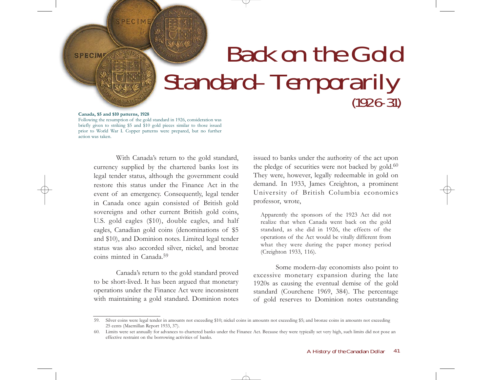## Back on the Gold Standard–Temporarily

## **Canada, \$5 and \$10 patterns, 1928**

**SPECIME** 

SPECIME

Following the resumption of the gold standard in 1926, consideration was briefly given to striking \$5 and \$10 gold pieces similar to those issued prior to World War I. Copper patterns were prepared, but no further action was taken.

> With Canada's return to the gold standard, currency supplied by the chartered banks lost its legal tender status, although the government could restore this status under the Finance Act in the event of an emergency. Consequently, legal tender in Canada once again consisted of British gold sovereigns and other current British gold coins, U.S. gold eagles (\$10), double eagles, and half eagles, Canadian gold coins (denominations of \$5 and \$10), and Dominion notes. Limited legal tender status was also accorded silver, nickel, and bronze coins minted in Canada.<sup>59</sup>

> Canada's return to the gold standard proved to be short-lived. It has been argued that monetary operations under the Finance Act were inconsistent with maintaining a gold standard. Dominion notes

issued to banks under the authority of the act upon the pledge of securities were not backed by gold.<sup>60</sup> They were, however, legally redeemable in gold on demand. In 1933, James Creighton, a prominent University of British Columbia economics professor, wrote,

Apparently the sponsors of the 1923 Act did not realize that when Canada went back on the gold standard, as she did in 1926, the effects of the operations of the Act would be vitally different from what they were during the paper money period (Creighton 1933, 116).

Some modern-day economists also point to excessive monetary expansion during the late 1920s as causing the eventual demise of the gold standard (Courchene 1969, 384). The percentage of gold reserves to Dominion notes outstanding

<sup>59.</sup> Silver coins were legal tender in amounts not exceeding \$10; nickel coins in amounts not exceeding \$5; and bronze coins in amounts not exceeding 25 cents (Macmillan Report 1933, 37).

<sup>60.</sup> Limits were set annually for advances to chartered banks under the Finance Act. Because they were typically set very high, such limits did not pose an effective restraint on the borrowing activities of banks.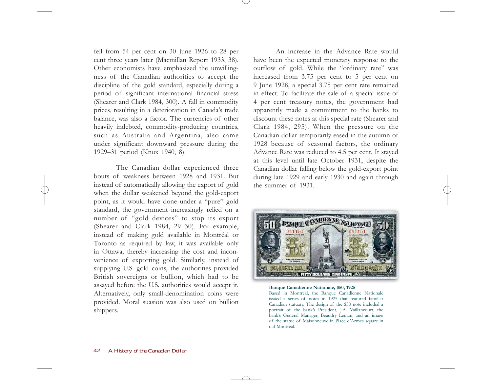fell from 54 per cent on 30 June 1926 to 28 per cent three years later (Macmillan Report 1933, 38). Other economists have emphasized the unwillingness of the Canadian authorities to accept the discipline of the gold standard, especially during a period of significant international financial stress (Shearer and Clark 1984, 300). A fall in commodity prices, resulting in a deterioration in Canada's trade balance, was also a factor. The currencies of other heavily indebted, commodity-producing countries, such as Australia and Argentina, also came under significant downward pressure during the 1929–31 period (Knox 1940, 8).

The Canadian dollar experienced three bouts of weakness between 1928 and 1931. But instead of automatically allowing the export of gold when the dollar weakened beyond the gold-export point, as it would have done under a "pure" gold standard, the government increasingly relied on a number of "gold devices" to stop its export (Shearer and Clark 1984, 29–30). For example, instead of making gold available in Montréal or Toronto as required by law, it was available only in Ottawa, thereby increasing the cost and inconvenience of exporting gold. Similarly, instead of supplying U.S. gold coins, the authorities provided British sovereigns or bullion, which had to be assayed before the U.S. authorities would accept it. Alternatively, only small-denomination coins were provided. Moral suasion was also used on bullion shippers.

An increase in the Advance Rate would have been the expected monetary response to the outflow of gold. While the "ordinary rate" was increased from 3.75 per cent to 5 per cent on 9 June 1928, a special 3.75 per cent rate remained in effect. To facilitate the sale of a special issue of 4 per cent treasury notes, the government had apparently made a commitment to the banks to discount these notes at this special rate (Shearer and Clark 1984, 295). When the pressure on the Canadian dollar temporarily eased in the autumn of 1928 because of seasonal factors, the ordinary Advance Rate was reduced to 4.5 per cent. It stayed at this level until late October 1931, despite the Canadian dollar falling below the gold-export point during late 1929 and early 1930 and again through the summer of 1931.



**Banque Canadienne Nationale, \$50, 1925** Based in Montréal, the Banque Canadienne Nationale

issued a series of notes in 1925 that featured familiar Canadian statuary. The design of the \$50 note included a portrait of the bank's President, J.A. Vaillancourt, the bank's General Manager, Beaudry Leman, and an image of the statue of Maisonneuve in Place d'Armes square in old Montréal.